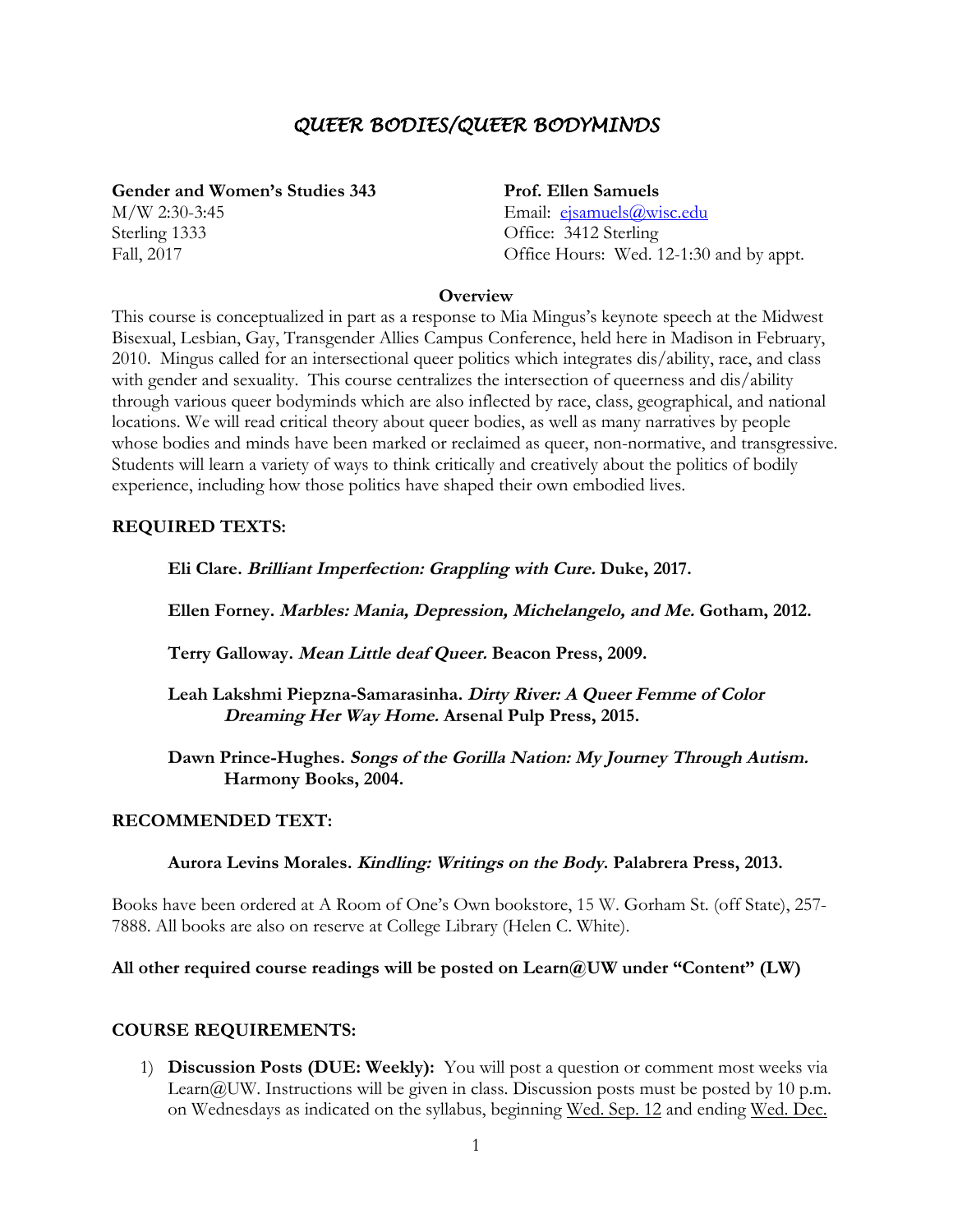# *QUEER BODIES/QUEER BODYMINDS*

**Gender and Women's Studies 343**

M/W 2:30-3:45 Sterling 1333 Fall, 2017

**Prof. Ellen Samuels** 

Email: ejsamuels@wisc.edu Office: 3412 Sterling Office Hours: Wed. 12-1:30 and by appt.

#### **Overview**

This course is conceptualized in part as a response to Mia Mingus's keynote speech at the Midwest Bisexual, Lesbian, Gay, Transgender Allies Campus Conference, held here in Madison in February, 2010. Mingus called for an intersectional queer politics which integrates dis/ability, race, and class with gender and sexuality. This course centralizes the intersection of queerness and dis/ability through various queer bodyminds which are also inflected by race, class, geographical, and national locations. We will read critical theory about queer bodies, as well as many narratives by people whose bodies and minds have been marked or reclaimed as queer, non-normative, and transgressive. Students will learn a variety of ways to think critically and creatively about the politics of bodily experience, including how those politics have shaped their own embodied lives.

# **REQUIRED TEXTS:**

**Eli Clare. Brilliant Imperfection: Grappling with Cure. Duke, 2017.**

**Ellen Forney. Marbles: Mania, Depression, Michelangelo, and Me. Gotham, 2012.**

**Terry Galloway. Mean Little deaf Queer. Beacon Press, 2009.**

**Leah Lakshmi Piepzna-Samarasinha. Dirty River: A Queer Femme of Color Dreaming Her Way Home. Arsenal Pulp Press, 2015.**

**Dawn Prince-Hughes. Songs of the Gorilla Nation: My Journey Through Autism. Harmony Books, 2004.**

# **RECOMMENDED TEXT:**

**Aurora Levins Morales. Kindling: Writings on the Body. Palabrera Press, 2013.**

Books have been ordered at A Room of One's Own bookstore, 15 W. Gorham St. (off State), 257- 7888. All books are also on reserve at College Library (Helen C. White).

# **All other required course readings will be posted on Learn@UW under "Content" (LW)**

# **COURSE REQUIREMENTS:**

1) **Discussion Posts (DUE: Weekly):** You will post a question or comment most weeks via Learn@UW. Instructions will be given in class. Discussion posts must be posted by 10 p.m. on Wednesdays as indicated on the syllabus, beginning Wed. Sep. 12 and ending Wed. Dec.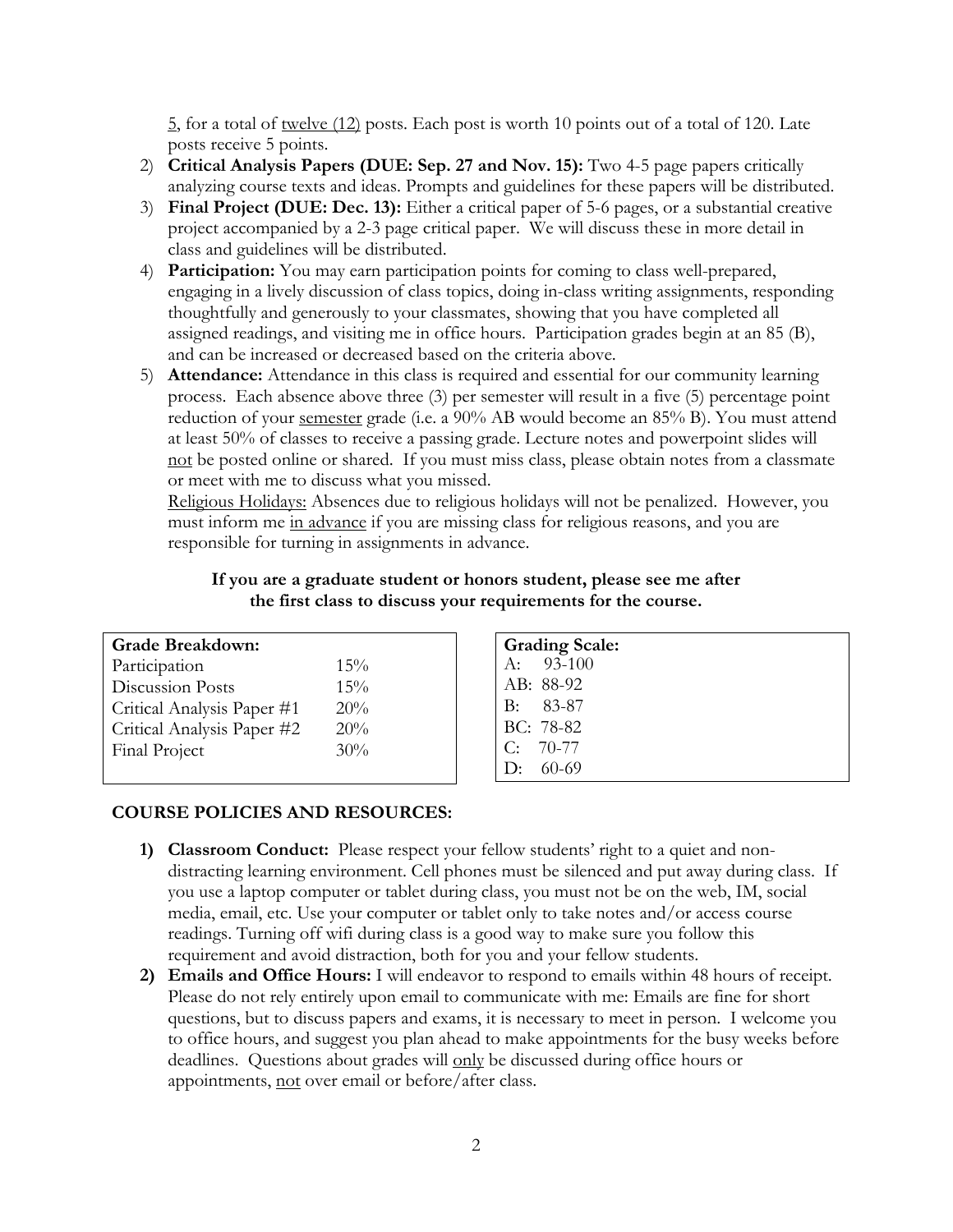$\frac{5}{2}$ , for a total of <u>twelve (12)</u> posts. Each post is worth 10 points out of a total of 120. Late posts receive 5 points.

- 2) **Critical Analysis Papers (DUE: Sep. 27 and Nov. 15):** Two 4-5 page papers critically analyzing course texts and ideas. Prompts and guidelines for these papers will be distributed.
- 3) **Final Project (DUE: Dec. 13):** Either a critical paper of 5-6 pages, or a substantial creative project accompanied by a 2-3 page critical paper. We will discuss these in more detail in class and guidelines will be distributed.
- 4) **Participation:** You may earn participation points for coming to class well-prepared, engaging in a lively discussion of class topics, doing in-class writing assignments, responding thoughtfully and generously to your classmates, showing that you have completed all assigned readings, and visiting me in office hours. Participation grades begin at an 85 (B), and can be increased or decreased based on the criteria above.
- 5) **Attendance:** Attendance in this class is required and essential for our community learning process. Each absence above three (3) per semester will result in a five (5) percentage point reduction of your semester grade (i.e. a 90% AB would become an 85% B). You must attend at least 50% of classes to receive a passing grade. Lecture notes and powerpoint slides will not be posted online or shared. If you must miss class, please obtain notes from a classmate or meet with me to discuss what you missed.

Religious Holidays: Absences due to religious holidays will not be penalized. However, you must inform me in advance if you are missing class for religious reasons, and you are responsible for turning in assignments in advance.

|     | G              |
|-----|----------------|
| 15% | $\overline{A}$ |
| 15% | A              |
| 20% | B              |
| 20% | B              |
| 30% |                |
|     |                |

#### **If you are a graduate student or honors student, please see me after the first class to discuss your requirements for the course.**

| <b>Grading Scale:</b> |
|-----------------------|
| A: $93-100$           |
| AB: 88-92             |
| $B: 83-87$            |
| BC: 78-82             |
| $C: 70-77$            |
| 1): $60-69$           |

### **COURSE POLICIES AND RESOURCES:**

- **1) Classroom Conduct:** Please respect your fellow students' right to a quiet and nondistracting learning environment. Cell phones must be silenced and put away during class. If you use a laptop computer or tablet during class, you must not be on the web, IM, social media, email, etc. Use your computer or tablet only to take notes and/or access course readings. Turning off wifi during class is a good way to make sure you follow this requirement and avoid distraction, both for you and your fellow students.
- **2) Emails and Office Hours:** I will endeavor to respond to emails within 48 hours of receipt. Please do not rely entirely upon email to communicate with me: Emails are fine for short questions, but to discuss papers and exams, it is necessary to meet in person. I welcome you to office hours, and suggest you plan ahead to make appointments for the busy weeks before deadlines. Questions about grades will only be discussed during office hours or appointments, not over email or before/after class.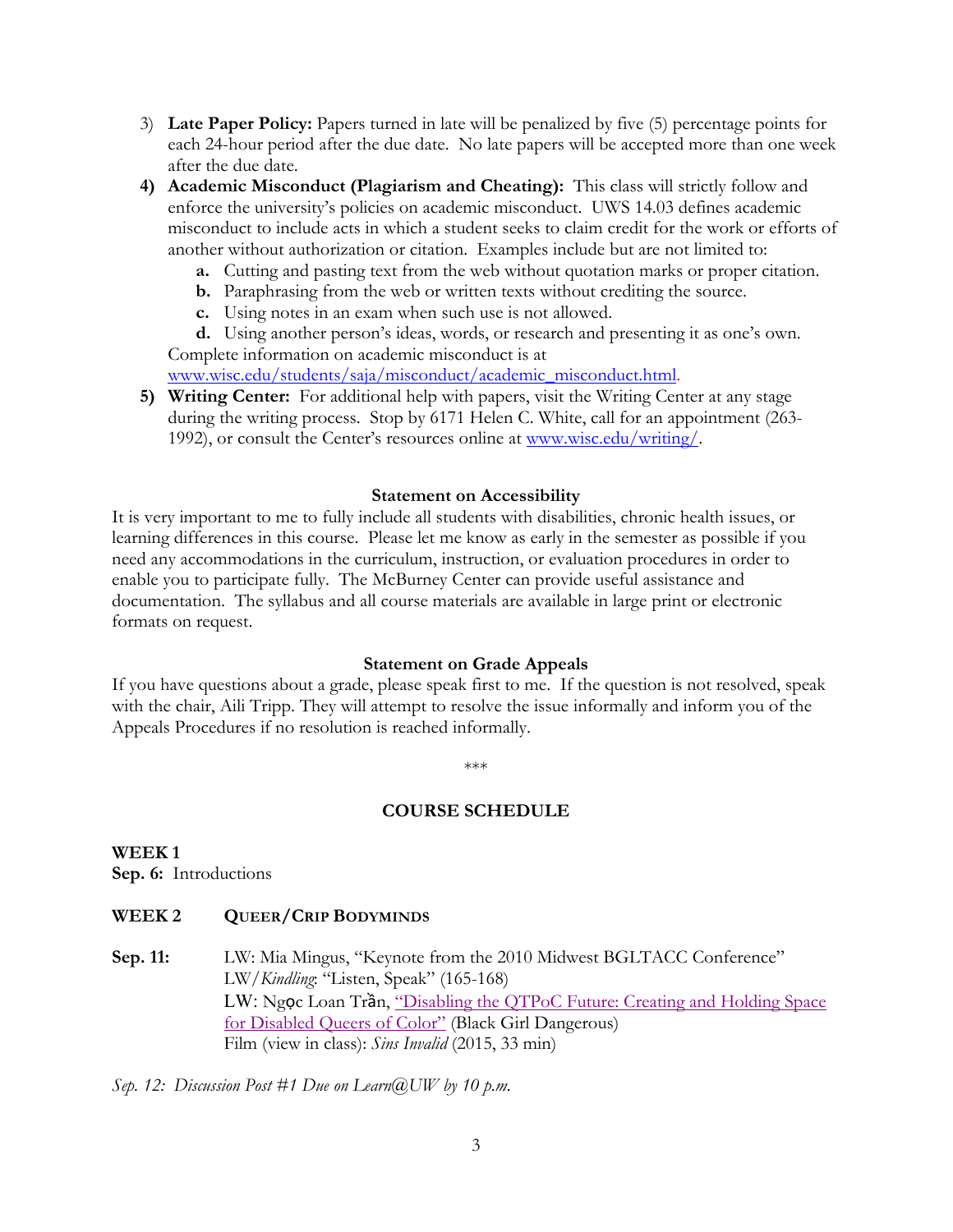- 3) **Late Paper Policy:** Papers turned in late will be penalized by five (5) percentage points for each 24-hour period after the due date. No late papers will be accepted more than one week after the due date.
- **4) Academic Misconduct (Plagiarism and Cheating):** This class will strictly follow and enforce the university's policies on academic misconduct. UWS 14.03 defines academic misconduct to include acts in which a student seeks to claim credit for the work or efforts of another without authorization or citation. Examples include but are not limited to:
	- **a.** Cutting and pasting text from the web without quotation marks or proper citation.
	- **b.** Paraphrasing from the web or written texts without crediting the source.
	- **c.** Using notes in an exam when such use is not allowed.

**d.** Using another person's ideas, words, or research and presenting it as one's own. Complete information on academic misconduct is at

www.wisc.edu/students/saja/misconduct/academic\_misconduct.html.

**5) Writing Center:** For additional help with papers, visit the Writing Center at any stage during the writing process. Stop by 6171 Helen C. White, call for an appointment (263- 1992), or consult the Center's resources online at www.wisc.edu/writing/.

#### **Statement on Accessibility**

It is very important to me to fully include all students with disabilities, chronic health issues, or learning differences in this course. Please let me know as early in the semester as possible if you need any accommodations in the curriculum, instruction, or evaluation procedures in order to enable you to participate fully. The McBurney Center can provide useful assistance and documentation. The syllabus and all course materials are available in large print or electronic formats on request.

#### **Statement on Grade Appeals**

If you have questions about a grade, please speak first to me. If the question is not resolved, speak with the chair, Aili Tripp. They will attempt to resolve the issue informally and inform you of the Appeals Procedures if no resolution is reached informally.

\*\*\*

# **COURSE SCHEDULE**

**WEEK 1 Sep. 6:** Introductions

# **WEEK 2 QUEER/CRIP BODYMINDS**

**Sep. 11:** LW: Mia Mingus, "Keynote from the 2010 Midwest BGLTACC Conference" LW/*Kindling*: "Listen, Speak" (165-168) LW: Ngọc Loan Trần, "Disabling the QTPoC Future: Creating and Holding Space for Disabled Queers of Color" (Black Girl Dangerous) Film (view in class): *Sins Invalid* (2015, 33 min)

*Sep. 12: Discussion Post #1 Due on Learn@UW by 10 p.m.*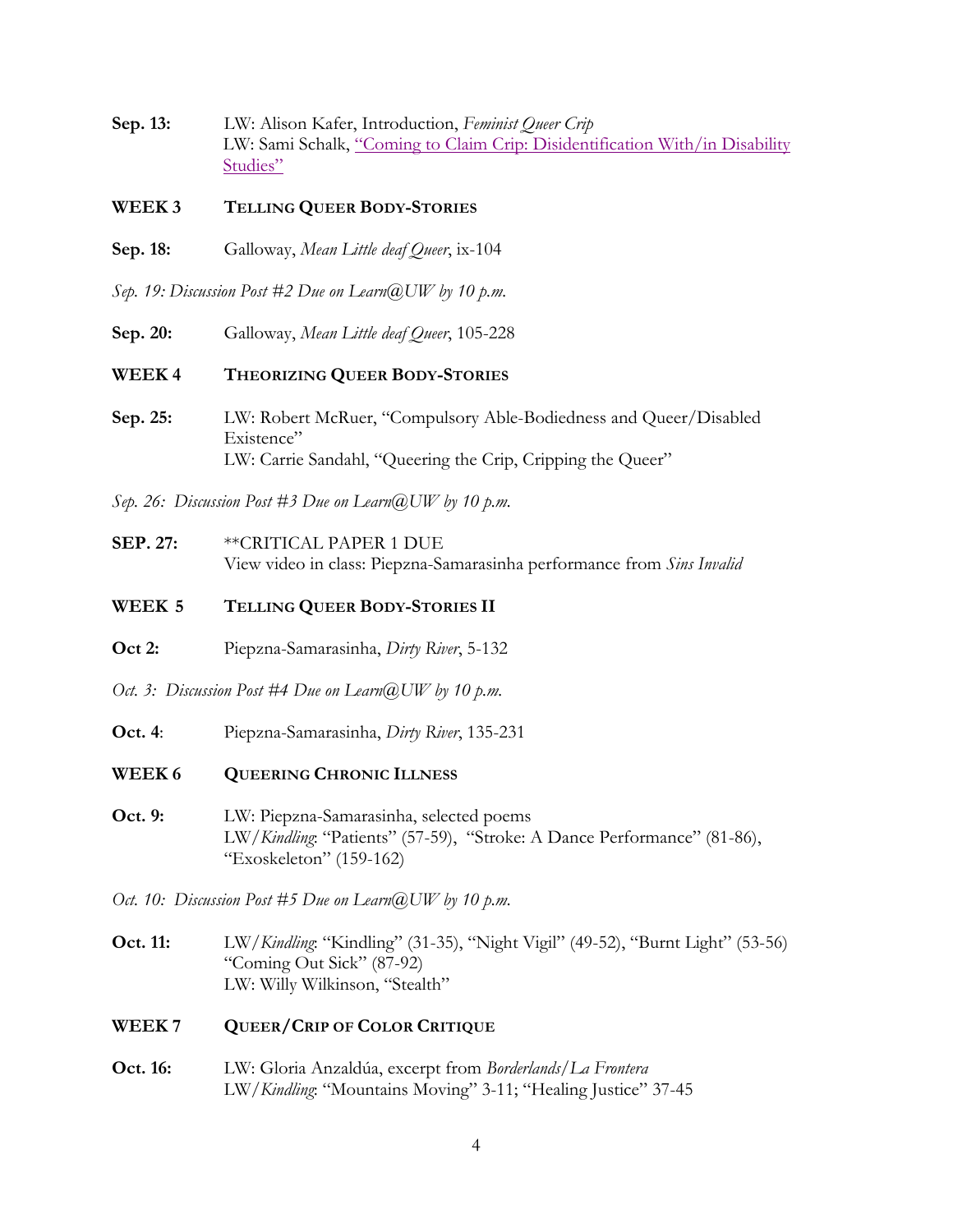- **Sep. 13:** LW: Alison Kafer, Introduction, *Feminist Queer Crip* LW: Sami Schalk, "Coming to Claim Crip: Disidentification With/in Disability Studies"
- **WEEK 3 TELLING QUEER BODY-STORIES**
- **Sep. 18:** Galloway, *Mean Little deaf Queer*, ix-104

*Sep. 19: Discussion Post #2 Due on Learn@UW by 10 p.m.*

**Sep. 20:** Galloway, *Mean Little deaf Queer*, 105-228

**WEEK 4 THEORIZING QUEER BODY-STORIES**

**Sep. 25:** LW: Robert McRuer, "Compulsory Able-Bodiedness and Queer/Disabled Existence" LW: Carrie Sandahl, "Queering the Crip, Cripping the Queer"

*Sep. 26: Discussion Post #3 Due on Learn@UW by 10 p.m.*

**SEP. 27:** \*\*CRITICAL PAPER 1 DUE View video in class: Piepzna-Samarasinha performance from *Sins Invalid*

# **WEEK 5 TELLING QUEER BODY-STORIES II**

- **Oct 2:** Piepzna-Samarasinha, *Dirty River*, 5-132
- *Oct. 3: Discussion Post #4 Due on Learn@UW by 10 p.m.*
- **Oct. 4**: Piepzna-Samarasinha, *Dirty River*, 135-231
- **WEEK 6 QUEERING CHRONIC ILLNESS**
- **Oct. 9:** LW: Piepzna-Samarasinha, selected poems LW/*Kindling*: "Patients" (57-59), "Stroke: A Dance Performance" (81-86), "Exoskeleton" (159-162)

*Oct. 10: Discussion Post #5 Due on Learn@UW by 10 p.m.*

- **Oct. 11:** LW/*Kindling*: "Kindling" (31-35), "Night Vigil" (49-52), "Burnt Light" (53-56) "Coming Out Sick" (87-92) LW: Willy Wilkinson, "Stealth"
- **WEEK 7 QUEER/CRIP OF COLOR CRITIQUE**
- **Oct. 16:** LW: Gloria Anzaldúa, excerpt from *Borderlands/La Frontera* LW/*Kindling*: "Mountains Moving" 3-11; "Healing Justice" 37-45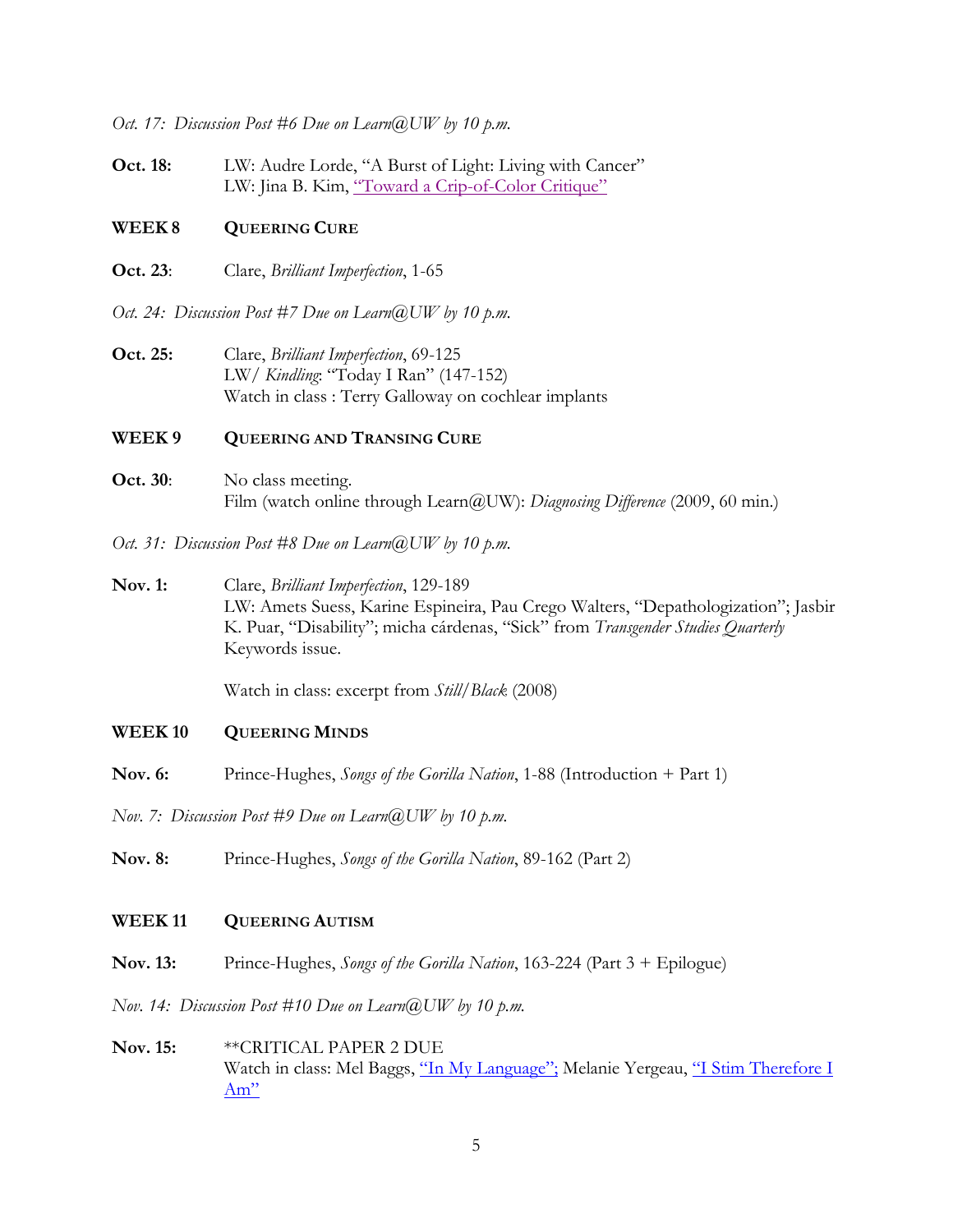*Oct. 17: Discussion Post #6 Due on Learn@UW by 10 p.m.*

**Oct. 18:** LW: Audre Lorde, "A Burst of Light: Living with Cancer" LW: Jina B. Kim, "Toward a Crip-of-Color Critique"

#### **WEEK 8 QUEERING CURE**

**Oct. 23**: Clare, *Brilliant Imperfection*, 1-65

*Oct. 24: Discussion Post #7 Due on Learn@UW by 10 p.m.*

**Oct. 25:** Clare, *Brilliant Imperfection*, 69-125 LW/ *Kindling*: "Today I Ran" (147-152) Watch in class : Terry Galloway on cochlear implants

#### **WEEK 9 QUEERING AND TRANSING CURE**

**Oct. 30:** No class meeting. Film (watch online through Learn@UW): *Diagnosing Difference* (2009, 60 min.)

*Oct. 31: Discussion Post #8 Due on Learn@UW by 10 p.m.*

**Nov. 1:** Clare, *Brilliant Imperfection*, 129-189 LW: Amets Suess, Karine Espineira, Pau Crego Walters, "Depathologization"; Jasbir K. Puar, "Disability"; micha cárdenas, "Sick" from *Transgender Studies Quarterly* Keywords issue.

Watch in class: excerpt from *Still/Black* (2008)

#### **WEEK 10 QUEERING MINDS**

**Nov. 6:** Prince-Hughes, *Songs of the Gorilla Nation*, 1-88 (Introduction + Part 1)

*Nov. 7: Discussion Post #9 Due on Learn@UW by 10 p.m.*

**Nov. 8:** Prince-Hughes, *Songs of the Gorilla Nation*, 89-162 (Part 2)

#### **WEEK 11 QUEERING AUTISM**

**Nov. 13:** Prince-Hughes, *Songs of the Gorilla Nation*, 163-224 (Part 3 + Epilogue)

*Nov. 14: Discussion Post #10 Due on Learn@UW by 10 p.m.*

**Nov. 15:** \*\*CRITICAL PAPER 2 DUE Watch in class: Mel Baggs, "In My Language"; Melanie Yergeau, "I Stim Therefore I Am"